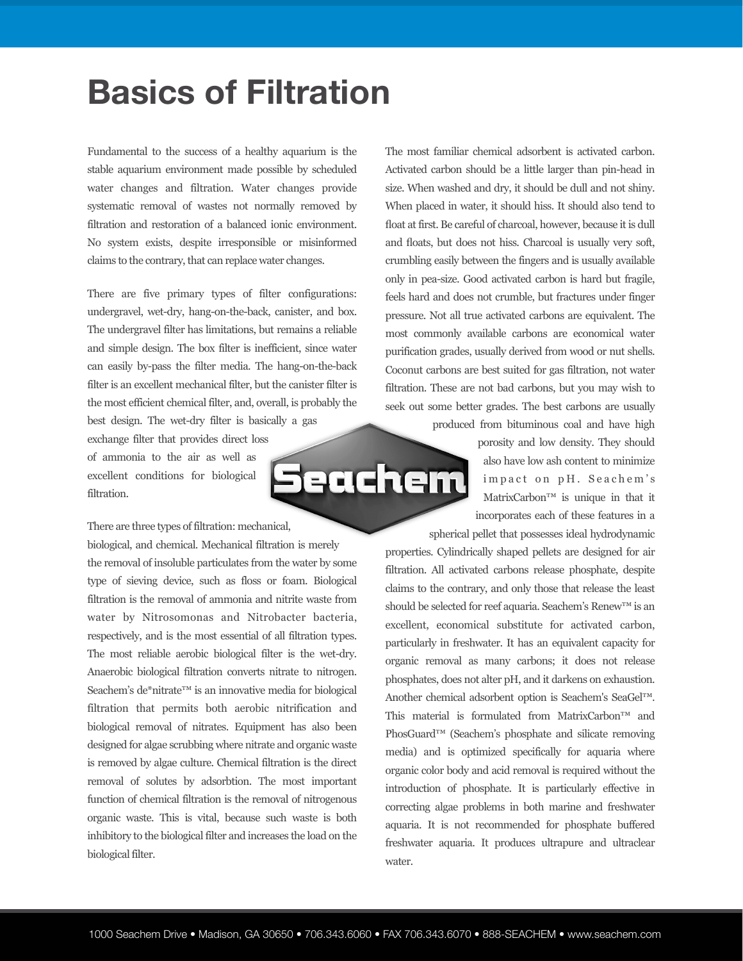## **Basics of Filtration**

Fundamental to the success of a healthy aquarium is the stable aquarium environment made possible by scheduled water changes and filtration. Water changes provide systematic removal of wastes not normally removed by filtration and restoration of a balanced ionic environment. No system exists, despite irresponsible or misinformed claims to the contrary, that can replace water changes.

There are five primary types of filter configurations: undergravel, wet-dry, hang-on-the-back, canister, and box. The undergravel filter has limitations, but remains a reliable and simple design. The box filter is inefficient, since water can easily by-pass the filter media. The hang-on-the-back filter is an excellent mechanical filter, but the canister filter is the most efficient chemical filter, and, overall, is probably the best design. The wet-dry filter is basically a gas

exchange filter that provides direct loss of ammonia to the air as well as excellent conditions for biological filtration.

There are three types of filtration: mechanical,

biological, and chemical. Mechanical filtration is merely the removal of insoluble particulates from the water by some type of sieving device, such as floss or foam. Biological filtration is the removal of ammonia and nitrite waste from water by Nitrosomonas and Nitrobacter bacteria, respectively, and is the most essential of all filtration types. The most reliable aerobic biological filter is the wet-dry. Anaerobic biological filtration converts nitrate to nitrogen. Seachem's de\*nitrate™ is an innovative media for biological filtration that permits both aerobic nitrification and biological removal of nitrates. Equipment has also been designed for algae scrubbing where nitrate and organic waste is removed by algae culture. Chemical filtration is the direct removal of solutes by adsorbtion. The most important function of chemical filtration is the removal of nitrogenous organic waste. This is vital, because such waste is both inhibitory to the biological filter and increases the load on the biological filter.

The most familiar chemical adsorbent is activated carbon. Activated carbon should be a little larger than pin-head in size. When washed and dry, it should be dull and not shiny. When placed in water, it should hiss. It should also tend to float at first. Be careful of charcoal, however, because it is dull and floats, but does not hiss. Charcoal is usually very soft, crumbling easily between the fingers and is usually available only in pea-size. Good activated carbon is hard but fragile, feels hard and does not crumble, but fractures under finger pressure. Not all true activated carbons are equivalent. The most commonly available carbons are economical water purification grades, usually derived from wood or nut shells. Coconut carbons are best suited for gas filtration, not water filtration. These are not bad carbons, but you may wish to seek out some better grades. The best carbons are usually

> produced from bituminous coal and have high porosity and low density. They should also have low ash content to minimize impact on pH. Seachem's MatrixCarbon™ is unique in that it incorporates each of these features in a

spherical pellet that possesses ideal hydrodynamic properties. Cylindrically shaped pellets are designed for air filtration. All activated carbons release phosphate, despite claims to the contrary, and only those that release the least should be selected for reef aquaria. Seachem's Renew™ is an excellent, economical substitute for activated carbon, particularly in freshwater. It has an equivalent capacity for organic removal as many carbons; it does not release phosphates, does not alter pH, and it darkens on exhaustion. Another chemical adsorbent option is Seachem's SeaGel™. This material is formulated from MatrixCarbon™ and PhosGuard™ (Seachem's phosphate and silicate removing media) and is optimized specifically for aquaria where organic color body and acid removal is required without the introduction of phosphate. It is particularly effective in correcting algae problems in both marine and freshwater aquaria. It is not recommended for phosphate buffered freshwater aquaria. It produces ultrapure and ultraclear water.

<u>Seachem</u>